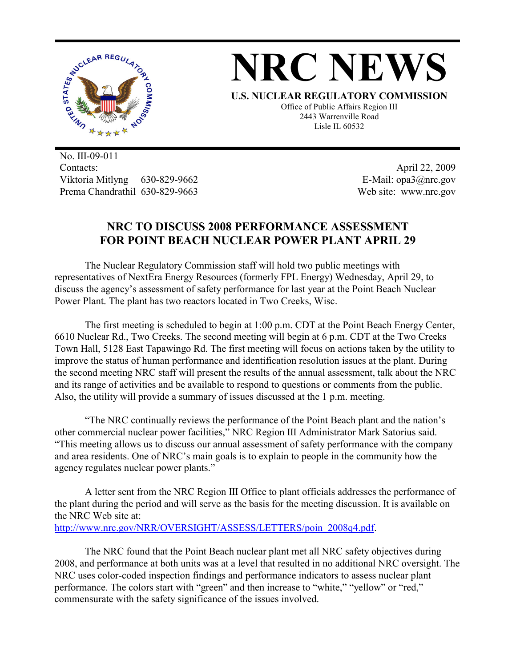

## **NRC NEWS**

**U.S. NUCLEAR REGULATORY COMMISSION** Office of Public Affairs Region III 2443 Warrenville Road Lisle IL 60532

No. III-09-011 Contacts: Viktoria Mitlyng 630-829-9662 Prema Chandrathil 630-829-9663

April 22, 2009 E-Mail: opa3@nrc.gov Web site: www.nrc.gov

## **NRC TO DISCUSS 2008 PERFORMANCE ASSESSMENT FOR POINT BEACH NUCLEAR POWER PLANT APRIL 29**

 The Nuclear Regulatory Commission staff will hold two public meetings with representatives of NextEra Energy Resources (formerly FPL Energy) Wednesday, April 29, to discuss the agency's assessment of safety performance for last year at the Point Beach Nuclear Power Plant. The plant has two reactors located in Two Creeks, Wisc.

 The first meeting is scheduled to begin at 1:00 p.m. CDT at the Point Beach Energy Center, 6610 Nuclear Rd., Two Creeks. The second meeting will begin at 6 p.m. CDT at the Two Creeks Town Hall, 5128 East Tapawingo Rd. The first meeting will focus on actions taken by the utility to improve the status of human performance and identification resolution issues at the plant. During the second meeting NRC staff will present the results of the annual assessment, talk about the NRC and its range of activities and be available to respond to questions or comments from the public. Also, the utility will provide a summary of issues discussed at the 1 p.m. meeting.

 "The NRC continually reviews the performance of the Point Beach plant and the nation's other commercial nuclear power facilities," NRC Region III Administrator Mark Satorius said. "This meeting allows us to discuss our annual assessment of safety performance with the company and area residents. One of NRC's main goals is to explain to people in the community how the agency regulates nuclear power plants."

 A letter sent from the NRC Region III Office to plant officials addresses the performance of the plant during the period and will serve as the basis for the meeting discussion. It is available on the NRC Web site at: http://www.nrc.gov/NRR/OVERSIGHT/ASSESS/LETTERS/poin\_2008q4.pdf.

 The NRC found that the Point Beach nuclear plant met all NRC safety objectives during 2008, and performance at both units was at a level that resulted in no additional NRC oversight. The NRC uses color-coded inspection findings and performance indicators to assess nuclear plant performance. The colors start with "green" and then increase to "white," "yellow" or "red," commensurate with the safety significance of the issues involved.